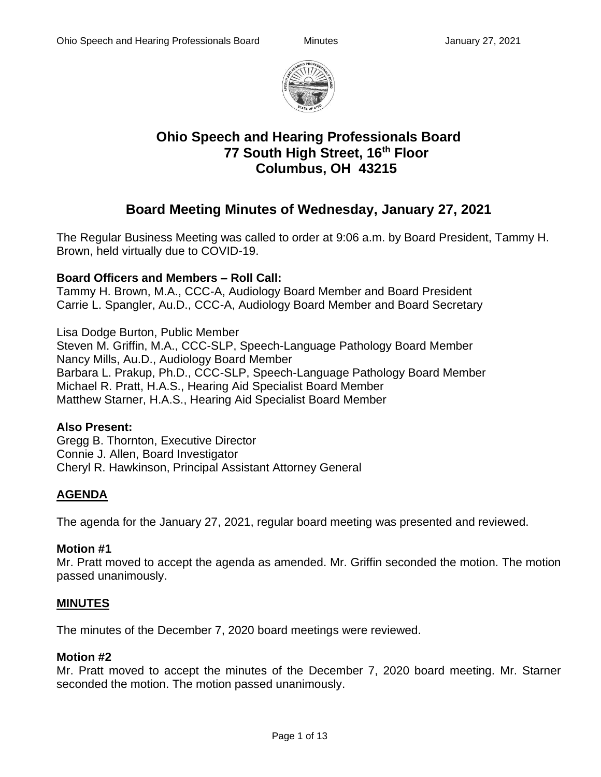

# **Ohio Speech and Hearing Professionals Board 77 South High Street, 16th Floor Columbus, OH 43215**

# **Board Meeting Minutes of Wednesday, January 27, 2021**

The Regular Business Meeting was called to order at 9:06 a.m. by Board President, Tammy H. Brown, held virtually due to COVID-19.

## **Board Officers and Members – Roll Call:**

Tammy H. Brown, M.A., CCC-A, Audiology Board Member and Board President Carrie L. Spangler, Au.D., CCC-A, Audiology Board Member and Board Secretary

Lisa Dodge Burton, Public Member Steven M. Griffin, M.A., CCC-SLP, Speech-Language Pathology Board Member Nancy Mills, Au.D., Audiology Board Member Barbara L. Prakup, Ph.D., CCC-SLP, Speech-Language Pathology Board Member Michael R. Pratt, H.A.S., Hearing Aid Specialist Board Member Matthew Starner, H.A.S., Hearing Aid Specialist Board Member

#### **Also Present:**

Gregg B. Thornton, Executive Director Connie J. Allen, Board Investigator Cheryl R. Hawkinson, Principal Assistant Attorney General

## **AGENDA**

The agenda for the January 27, 2021, regular board meeting was presented and reviewed.

## **Motion #1**

Mr. Pratt moved to accept the agenda as amended. Mr. Griffin seconded the motion. The motion passed unanimously.

## **MINUTES**

The minutes of the December 7, 2020 board meetings were reviewed.

#### **Motion #2**

Mr. Pratt moved to accept the minutes of the December 7, 2020 board meeting. Mr. Starner seconded the motion. The motion passed unanimously.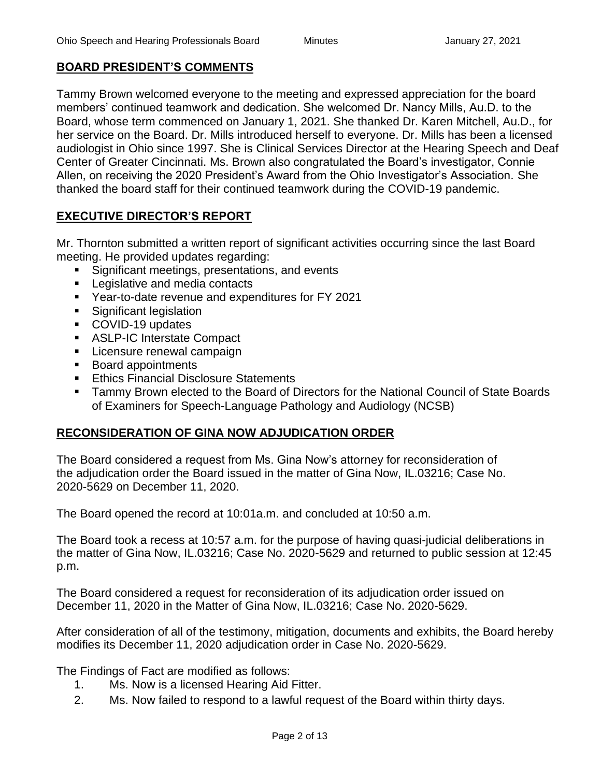## **BOARD PRESIDENT'S COMMENTS**

Tammy Brown welcomed everyone to the meeting and expressed appreciation for the board members' continued teamwork and dedication. She welcomed Dr. Nancy Mills, Au.D. to the Board, whose term commenced on January 1, 2021. She thanked Dr. Karen Mitchell, Au.D., for her service on the Board. Dr. Mills introduced herself to everyone. Dr. Mills has been a licensed audiologist in Ohio since 1997. She is Clinical Services Director at the Hearing Speech and Deaf Center of Greater Cincinnati. Ms. Brown also congratulated the Board's investigator, Connie Allen, on receiving the 2020 President's Award from the Ohio Investigator's Association. She thanked the board staff for their continued teamwork during the COVID-19 pandemic.

## **EXECUTIVE DIRECTOR'S REPORT**

Mr. Thornton submitted a written report of significant activities occurring since the last Board meeting. He provided updates regarding:

- Significant meetings, presentations, and events
- Legislative and media contacts
- Year-to-date revenue and expenditures for FY 2021
- **EXECUTE:** Significant legislation
- COVID-19 updates
- ASLP-IC Interstate Compact
- **EXEC** Licensure renewal campaign
- Board appointments
- **Ethics Financial Disclosure Statements**
- Tammy Brown elected to the Board of Directors for the National Council of State Boards of Examiners for Speech-Language Pathology and Audiology (NCSB)

## **RECONSIDERATION OF GINA NOW ADJUDICATION ORDER**

The Board considered a request from Ms. Gina Now's attorney for reconsideration of the adjudication order the Board issued in the matter of Gina Now, IL.03216; Case No. 2020-5629 on December 11, 2020.

The Board opened the record at 10:01a.m. and concluded at 10:50 a.m.

The Board took a recess at 10:57 a.m. for the purpose of having quasi-judicial deliberations in the matter of Gina Now, IL.03216; Case No. 2020-5629 and returned to public session at 12:45 p.m.

The Board considered a request for reconsideration of its adjudication order issued on December 11, 2020 in the Matter of Gina Now, IL.03216; Case No. 2020-5629.

After consideration of all of the testimony, mitigation, documents and exhibits, the Board hereby modifies its December 11, 2020 adjudication order in Case No. 2020-5629.

The Findings of Fact are modified as follows:

- 1. Ms. Now is a licensed Hearing Aid Fitter.
- 2. Ms. Now failed to respond to a lawful request of the Board within thirty days.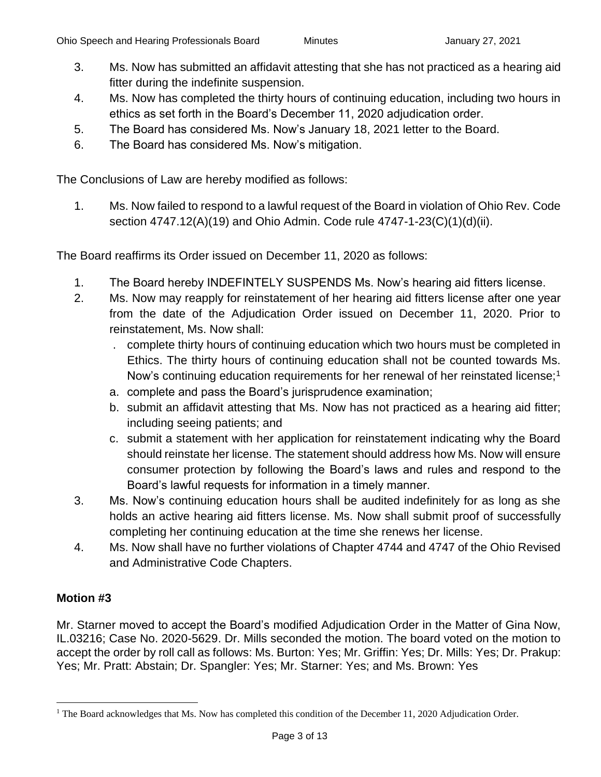- 3. Ms. Now has submitted an affidavit attesting that she has not practiced as a hearing aid fitter during the indefinite suspension.
- 4. Ms. Now has completed the thirty hours of continuing education, including two hours in ethics as set forth in the Board's December 11, 2020 adjudication order.
- 5. The Board has considered Ms. Now's January 18, 2021 letter to the Board.
- 6. The Board has considered Ms. Now's mitigation.

The Conclusions of Law are hereby modified as follows:

1. Ms. Now failed to respond to a lawful request of the Board in violation of Ohio Rev. Code section 4747.12(A)(19) and Ohio Admin. Code rule 4747-1-23(C)(1)(d)(ii).

The Board reaffirms its Order issued on December 11, 2020 as follows:

- 1. The Board hereby INDEFINTELY SUSPENDS Ms. Now's hearing aid fitters license.
- 2. Ms. Now may reapply for reinstatement of her hearing aid fitters license after one year from the date of the Adjudication Order issued on December 11, 2020. Prior to reinstatement, Ms. Now shall:
	- . complete thirty hours of continuing education which two hours must be completed in Ethics. The thirty hours of continuing education shall not be counted towards Ms. Now's continuing education requirements for her renewal of her reinstated license;<sup>1</sup>
	- a. complete and pass the Board's jurisprudence examination;
	- b. submit an affidavit attesting that Ms. Now has not practiced as a hearing aid fitter; including seeing patients; and
	- c. submit a statement with her application for reinstatement indicating why the Board should reinstate her license. The statement should address how Ms. Now will ensure consumer protection by following the Board's laws and rules and respond to the Board's lawful requests for information in a timely manner.
- 3. Ms. Now's continuing education hours shall be audited indefinitely for as long as she holds an active hearing aid fitters license. Ms. Now shall submit proof of successfully completing her continuing education at the time she renews her license.
- 4. Ms. Now shall have no further violations of Chapter 4744 and 4747 of the Ohio Revised and Administrative Code Chapters.

## **Motion #3**

Mr. Starner moved to accept the Board's modified Adjudication Order in the Matter of Gina Now, IL.03216; Case No. 2020-5629. Dr. Mills seconded the motion. The board voted on the motion to accept the order by roll call as follows: Ms. Burton: Yes; Mr. Griffin: Yes; Dr. Mills: Yes; Dr. Prakup: Yes; Mr. Pratt: Abstain; Dr. Spangler: Yes; Mr. Starner: Yes; and Ms. Brown: Yes

<sup>&</sup>lt;sup>1</sup> The Board acknowledges that Ms. Now has completed this condition of the December 11, 2020 Adjudication Order.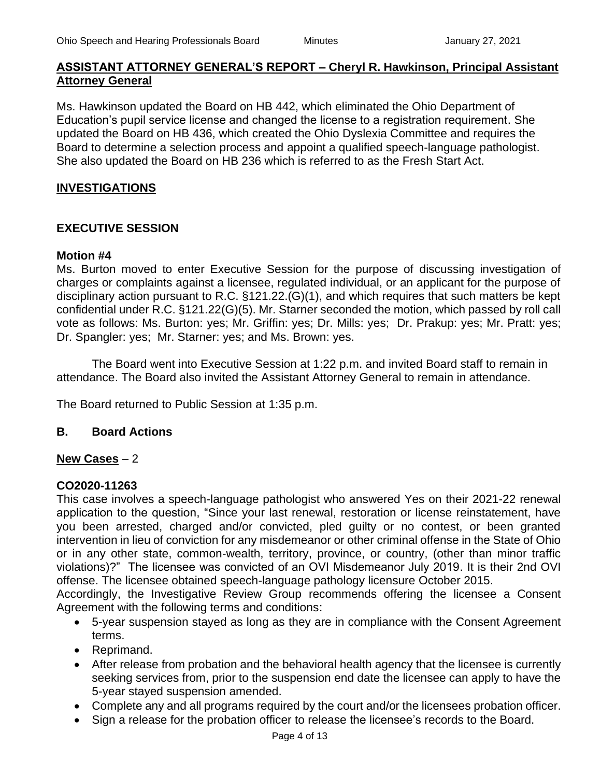## **ASSISTANT ATTORNEY GENERAL'S REPORT – Cheryl R. Hawkinson, Principal Assistant Attorney General**

Ms. Hawkinson updated the Board on HB 442, which eliminated the Ohio Department of Education's pupil service license and changed the license to a registration requirement. She updated the Board on HB 436, which created the Ohio Dyslexia Committee and requires the Board to determine a selection process and appoint a qualified speech-language pathologist. She also updated the Board on HB 236 which is referred to as the Fresh Start Act.

## **INVESTIGATIONS**

## **EXECUTIVE SESSION**

#### **Motion #4**

Ms. Burton moved to enter Executive Session for the purpose of discussing investigation of charges or complaints against a licensee, regulated individual, or an applicant for the purpose of disciplinary action pursuant to R.C. §121.22.(G)(1), and which requires that such matters be kept confidential under R.C. §121.22(G)(5). Mr. Starner seconded the motion, which passed by roll call vote as follows: Ms. Burton: yes; Mr. Griffin: yes; Dr. Mills: yes; Dr. Prakup: yes; Mr. Pratt: yes; Dr. Spangler: yes; Mr. Starner: yes; and Ms. Brown: yes.

The Board went into Executive Session at 1:22 p.m. and invited Board staff to remain in attendance. The Board also invited the Assistant Attorney General to remain in attendance.

The Board returned to Public Session at 1:35 p.m.

#### **B. Board Actions**

#### **New Cases** – 2

#### **CO2020-11263**

This case involves a speech-language pathologist who answered Yes on their 2021-22 renewal application to the question, "Since your last renewal, restoration or license reinstatement, have you been arrested, charged and/or convicted, pled guilty or no contest, or been granted intervention in lieu of conviction for any misdemeanor or other criminal offense in the State of Ohio or in any other state, common-wealth, territory, province, or country, (other than minor traffic violations)?" The licensee was convicted of an OVI Misdemeanor July 2019. It is their 2nd OVI offense. The licensee obtained speech-language pathology licensure October 2015.

Accordingly, the Investigative Review Group recommends offering the licensee a Consent Agreement with the following terms and conditions:

- 5-year suspension stayed as long as they are in compliance with the Consent Agreement terms.
- Reprimand.
- After release from probation and the behavioral health agency that the licensee is currently seeking services from, prior to the suspension end date the licensee can apply to have the 5-year stayed suspension amended.
- Complete any and all programs required by the court and/or the licensees probation officer.
- Sign a release for the probation officer to release the licensee's records to the Board.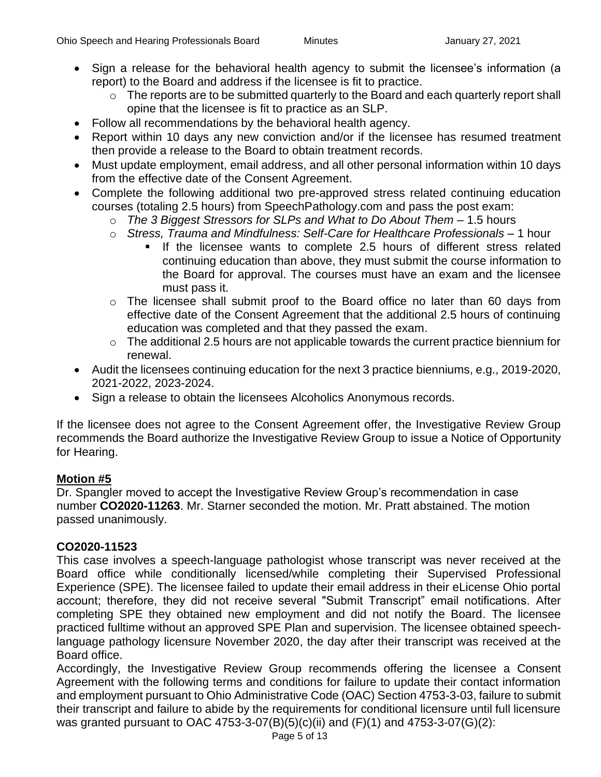- Sign a release for the behavioral health agency to submit the licensee's information (a report) to the Board and address if the licensee is fit to practice.
	- o The reports are to be submitted quarterly to the Board and each quarterly report shall opine that the licensee is fit to practice as an SLP.
- Follow all recommendations by the behavioral health agency.
- Report within 10 days any new conviction and/or if the licensee has resumed treatment then provide a release to the Board to obtain treatment records.
- Must update employment, email address, and all other personal information within 10 days from the effective date of the Consent Agreement.
- Complete the following additional two pre-approved stress related continuing education courses (totaling 2.5 hours) from SpeechPathology.com and pass the post exam:
	- o *The 3 Biggest Stressors for SLPs and What to Do About Them* 1.5 hours
	- o *Stress, Trauma and Mindfulness: Self-Care for Healthcare Professionals* 1 hour
		- If the licensee wants to complete 2.5 hours of different stress related continuing education than above, they must submit the course information to the Board for approval. The courses must have an exam and the licensee must pass it.
	- o The licensee shall submit proof to the Board office no later than 60 days from effective date of the Consent Agreement that the additional 2.5 hours of continuing education was completed and that they passed the exam.
	- o The additional 2.5 hours are not applicable towards the current practice biennium for renewal.
- Audit the licensees continuing education for the next 3 practice bienniums, e.g., 2019-2020, 2021-2022, 2023-2024.
- Sign a release to obtain the licensees Alcoholics Anonymous records.

If the licensee does not agree to the Consent Agreement offer, the Investigative Review Group recommends the Board authorize the Investigative Review Group to issue a Notice of Opportunity for Hearing.

## **Motion #5**

Dr. Spangler moved to accept the Investigative Review Group's recommendation in case number **CO2020-11263**. Mr. Starner seconded the motion. Mr. Pratt abstained. The motion passed unanimously.

## **CO2020-11523**

This case involves a speech-language pathologist whose transcript was never received at the Board office while conditionally licensed/while completing their Supervised Professional Experience (SPE). The licensee failed to update their email address in their eLicense Ohio portal account; therefore, they did not receive several "Submit Transcript" email notifications. After completing SPE they obtained new employment and did not notify the Board. The licensee practiced fulltime without an approved SPE Plan and supervision. The licensee obtained speechlanguage pathology licensure November 2020, the day after their transcript was received at the Board office.

Accordingly, the Investigative Review Group recommends offering the licensee a Consent Agreement with the following terms and conditions for failure to update their contact information and employment pursuant to Ohio Administrative Code (OAC) Section 4753-3-03, failure to submit their transcript and failure to abide by the requirements for conditional licensure until full licensure was granted pursuant to OAC 4753-3-07(B)(5)(c)(ii) and (F)(1) and 4753-3-07(G)(2):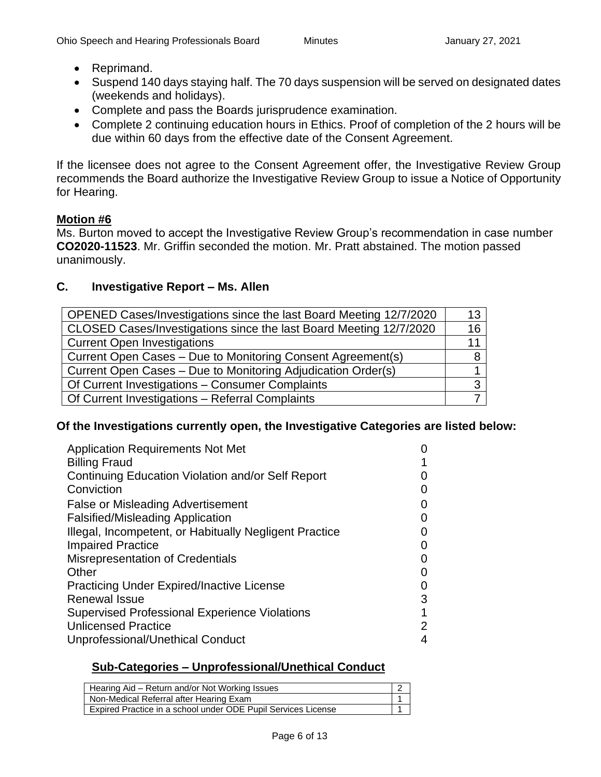- Reprimand.
- Suspend 140 days staying half. The 70 days suspension will be served on designated dates (weekends and holidays).
- Complete and pass the Boards jurisprudence examination.
- Complete 2 continuing education hours in Ethics. Proof of completion of the 2 hours will be due within 60 days from the effective date of the Consent Agreement.

If the licensee does not agree to the Consent Agreement offer, the Investigative Review Group recommends the Board authorize the Investigative Review Group to issue a Notice of Opportunity for Hearing.

#### **Motion #6**

Ms. Burton moved to accept the Investigative Review Group's recommendation in case number **CO2020-11523**. Mr. Griffin seconded the motion. Mr. Pratt abstained. The motion passed unanimously.

## **C. Investigative Report – Ms. Allen**

| OPENED Cases/Investigations since the last Board Meeting 12/7/2020 | 13 |
|--------------------------------------------------------------------|----|
| CLOSED Cases/Investigations since the last Board Meeting 12/7/2020 | 16 |
| <b>Current Open Investigations</b>                                 | 11 |
| Current Open Cases - Due to Monitoring Consent Agreement(s)        |    |
| Current Open Cases - Due to Monitoring Adjudication Order(s)       |    |
| Of Current Investigations - Consumer Complaints                    |    |
| Of Current Investigations - Referral Complaints                    |    |

#### **Of the Investigations currently open, the Investigative Categories are listed below:**

| <b>Application Requirements Not Met</b>                |                   |
|--------------------------------------------------------|-------------------|
| <b>Billing Fraud</b>                                   |                   |
| Continuing Education Violation and/or Self Report      |                   |
| Conviction                                             | $\mathbf{\Omega}$ |
| <b>False or Misleading Advertisement</b>               | $\mathbf{\Omega}$ |
| <b>Falsified/Misleading Application</b>                | 0                 |
| Illegal, Incompetent, or Habitually Negligent Practice |                   |
| <b>Impaired Practice</b>                               | 0                 |
| <b>Misrepresentation of Credentials</b>                |                   |
| Other                                                  | O                 |
| <b>Practicing Under Expired/Inactive License</b>       | 0                 |
| <b>Renewal Issue</b>                                   | 3                 |
| <b>Supervised Professional Experience Violations</b>   | 1                 |
| <b>Unlicensed Practice</b>                             | 2                 |
| Unprofessional/Unethical Conduct                       | 4                 |

#### **Sub-Categories – Unprofessional/Unethical Conduct**

| Hearing Aid – Return and/or Not Working Issues                |  |
|---------------------------------------------------------------|--|
| Non-Medical Referral after Hearing Exam                       |  |
| Expired Practice in a school under ODE Pupil Services License |  |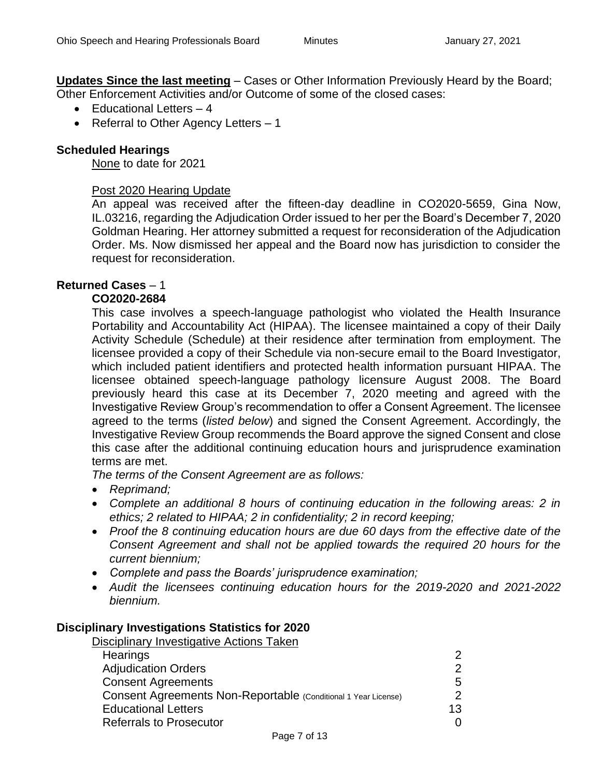**Updates Since the last meeting** – Cases or Other Information Previously Heard by the Board; Other Enforcement Activities and/or Outcome of some of the closed cases:

- Educational Letters 4
- Referral to Other Agency Letters 1

## **Scheduled Hearings**

None to date for 2021

### Post 2020 Hearing Update

An appeal was received after the fifteen-day deadline in CO2020-5659, Gina Now, IL.03216, regarding the Adjudication Order issued to her per the Board's December 7, 2020 Goldman Hearing. Her attorney submitted a request for reconsideration of the Adjudication Order. Ms. Now dismissed her appeal and the Board now has jurisdiction to consider the request for reconsideration.

## **Returned Cases** – 1

#### **CO2020-2684**

This case involves a speech-language pathologist who violated the Health Insurance Portability and Accountability Act (HIPAA). The licensee maintained a copy of their Daily Activity Schedule (Schedule) at their residence after termination from employment. The licensee provided a copy of their Schedule via non-secure email to the Board Investigator, which included patient identifiers and protected health information pursuant HIPAA. The licensee obtained speech-language pathology licensure August 2008. The Board previously heard this case at its December 7, 2020 meeting and agreed with the Investigative Review Group's recommendation to offer a Consent Agreement. The licensee agreed to the terms (*listed below*) and signed the Consent Agreement. Accordingly, the Investigative Review Group recommends the Board approve the signed Consent and close this case after the additional continuing education hours and jurisprudence examination terms are met.

*The terms of the Consent Agreement are as follows:*

- *Reprimand;*
- *Complete an additional 8 hours of continuing education in the following areas: 2 in ethics; 2 related to HIPAA; 2 in confidentiality; 2 in record keeping;*
- *Proof the 8 continuing education hours are due 60 days from the effective date of the Consent Agreement and shall not be applied towards the required 20 hours for the current biennium;*
- *Complete and pass the Boards' jurisprudence examination;*
- *Audit the licensees continuing education hours for the 2019-2020 and 2021-2022 biennium.*

#### **Disciplinary Investigations Statistics for 2020**

Disciplinary Investigative Actions Taken

| Hearings                                                       | 2  |
|----------------------------------------------------------------|----|
| <b>Adjudication Orders</b>                                     | 2  |
| <b>Consent Agreements</b>                                      | 5  |
| Consent Agreements Non-Reportable (Conditional 1 Year License) | 2  |
| <b>Educational Letters</b>                                     | 13 |
| <b>Referrals to Prosecutor</b>                                 | 0  |
|                                                                |    |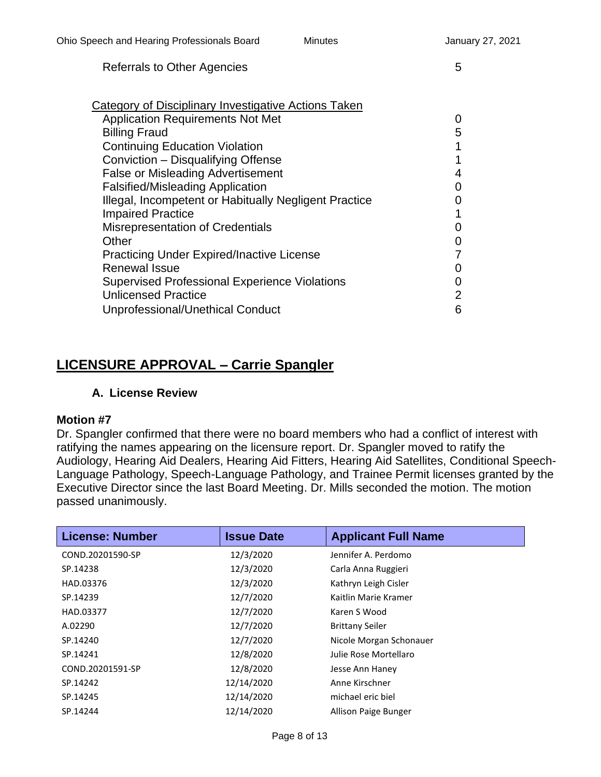## Referrals to Other Agencies 5

| Category of Disciplinary Investigative Actions Taken  |                |
|-------------------------------------------------------|----------------|
| <b>Application Requirements Not Met</b>               | 0              |
| <b>Billing Fraud</b>                                  | 5              |
| <b>Continuing Education Violation</b>                 | 1              |
| Conviction - Disqualifying Offense                    |                |
| <b>False or Misleading Advertisement</b>              | 4              |
| <b>Falsified/Misleading Application</b>               | 0              |
| Illegal, Incompetent or Habitually Negligent Practice |                |
| <b>Impaired Practice</b>                              |                |
| <b>Misrepresentation of Credentials</b>               | 0              |
| Other                                                 | 0              |
| <b>Practicing Under Expired/Inactive License</b>      |                |
| <b>Renewal Issue</b>                                  | 0              |
| <b>Supervised Professional Experience Violations</b>  | 0              |
| <b>Unlicensed Practice</b>                            | $\overline{2}$ |
| Unprofessional/Unethical Conduct                      | 6              |
|                                                       |                |

# **LICENSURE APPROVAL – Carrie Spangler**

## **A. License Review**

#### **Motion #7**

Dr. Spangler confirmed that there were no board members who had a conflict of interest with ratifying the names appearing on the licensure report. Dr. Spangler moved to ratify the Audiology, Hearing Aid Dealers, Hearing Aid Fitters, Hearing Aid Satellites, Conditional Speech-Language Pathology, Speech-Language Pathology, and Trainee Permit licenses granted by the Executive Director since the last Board Meeting. Dr. Mills seconded the motion. The motion passed unanimously.

| <b>License: Number</b> | <b>Issue Date</b> | <b>Applicant Full Name</b> |
|------------------------|-------------------|----------------------------|
| COND.20201590-SP       | 12/3/2020         | Jennifer A. Perdomo        |
| SP.14238               | 12/3/2020         | Carla Anna Ruggieri        |
| HAD.03376              | 12/3/2020         | Kathryn Leigh Cisler       |
| SP.14239               | 12/7/2020         | Kaitlin Marie Kramer       |
| HAD.03377              | 12/7/2020         | Karen S Wood               |
| A.02290                | 12/7/2020         | <b>Brittany Seiler</b>     |
| SP.14240               | 12/7/2020         | Nicole Morgan Schonauer    |
| SP.14241               | 12/8/2020         | Julie Rose Mortellaro      |
| COND.20201591-SP       | 12/8/2020         | Jesse Ann Haney            |
| SP.14242               | 12/14/2020        | Anne Kirschner             |
| SP.14245               | 12/14/2020        | michael eric biel          |
| SP.14244               | 12/14/2020        | Allison Paige Bunger       |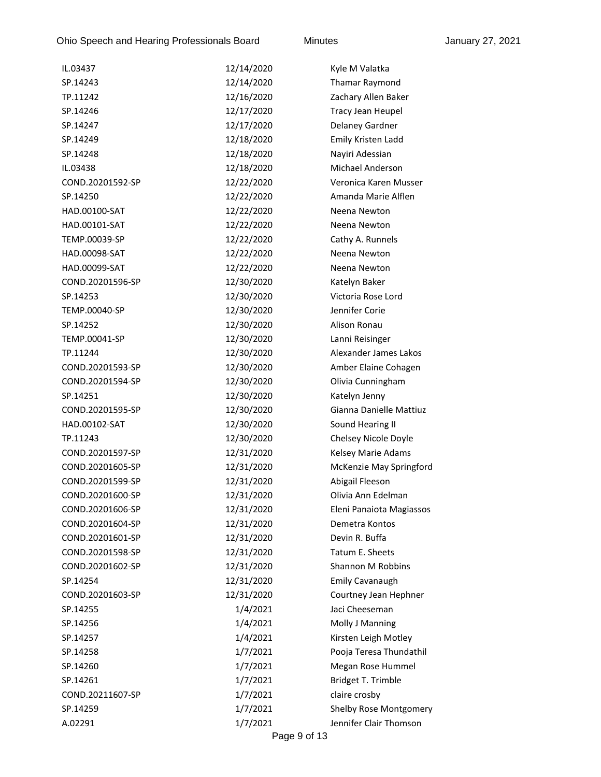Ohio Speech and Hearing Professionals Board Minutes Minutes January 27, 2021

| IL.03437         | 12/14/2020 | Kyle M Valatka                |
|------------------|------------|-------------------------------|
| SP.14243         | 12/14/2020 | Thamar Raymond                |
| TP.11242         | 12/16/2020 | Zachary Allen Baker           |
| SP.14246         | 12/17/2020 | Tracy Jean Heupel             |
| SP.14247         | 12/17/2020 | Delaney Gardner               |
| SP.14249         | 12/18/2020 | Emily Kristen Ladd            |
| SP.14248         | 12/18/2020 | Nayiri Adessian               |
| IL.03438         | 12/18/2020 | <b>Michael Anderson</b>       |
| COND.20201592-SP | 12/22/2020 | Veronica Karen Musser         |
| SP.14250         | 12/22/2020 | Amanda Marie Alflen           |
| HAD.00100-SAT    | 12/22/2020 | Neena Newton                  |
| HAD.00101-SAT    | 12/22/2020 | Neena Newton                  |
| TEMP.00039-SP    | 12/22/2020 | Cathy A. Runnels              |
| HAD.00098-SAT    | 12/22/2020 | Neena Newton                  |
| HAD.00099-SAT    | 12/22/2020 | Neena Newton                  |
| COND.20201596-SP | 12/30/2020 | Katelyn Baker                 |
| SP.14253         | 12/30/2020 | Victoria Rose Lord            |
| TEMP.00040-SP    | 12/30/2020 | Jennifer Corie                |
| SP.14252         | 12/30/2020 | Alison Ronau                  |
| TEMP.00041-SP    | 12/30/2020 | Lanni Reisinger               |
| TP.11244         | 12/30/2020 | Alexander James Lakos         |
| COND.20201593-SP | 12/30/2020 | Amber Elaine Cohagen          |
| COND.20201594-SP | 12/30/2020 | Olivia Cunningham             |
| SP.14251         | 12/30/2020 | Katelyn Jenny                 |
| COND.20201595-SP | 12/30/2020 | Gianna Danielle Mattiuz       |
| HAD.00102-SAT    | 12/30/2020 | Sound Hearing II              |
| TP.11243         | 12/30/2020 | Chelsey Nicole Doyle          |
| COND.20201597-SP | 12/31/2020 | Kelsey Marie Adams            |
| COND.20201605-SP | 12/31/2020 | McKenzie May Springford       |
| COND.20201599-SP | 12/31/2020 | Abigail Fleeson               |
| COND.20201600-SP | 12/31/2020 | Olivia Ann Edelman            |
| COND.20201606-SP | 12/31/2020 | Eleni Panaiota Magiassos      |
| COND.20201604-SP | 12/31/2020 | Demetra Kontos                |
| COND.20201601-SP | 12/31/2020 | Devin R. Buffa                |
| COND.20201598-SP | 12/31/2020 | Tatum E. Sheets               |
| COND.20201602-SP | 12/31/2020 | Shannon M Robbins             |
| SP.14254         | 12/31/2020 | <b>Emily Cavanaugh</b>        |
| COND.20201603-SP | 12/31/2020 | Courtney Jean Hephner         |
| SP.14255         | 1/4/2021   | Jaci Cheeseman                |
| SP.14256         | 1/4/2021   | Molly J Manning               |
| SP.14257         | 1/4/2021   | Kirsten Leigh Motley          |
| SP.14258         | 1/7/2021   | Pooja Teresa Thundathil       |
| SP.14260         | 1/7/2021   | Megan Rose Hummel             |
| SP.14261         | 1/7/2021   | Bridget T. Trimble            |
| COND.20211607-SP | 1/7/2021   | claire crosby                 |
| SP.14259         | 1/7/2021   | <b>Shelby Rose Montgomery</b> |
| A.02291          | 1/7/2021   | Jennifer Clair Thomson        |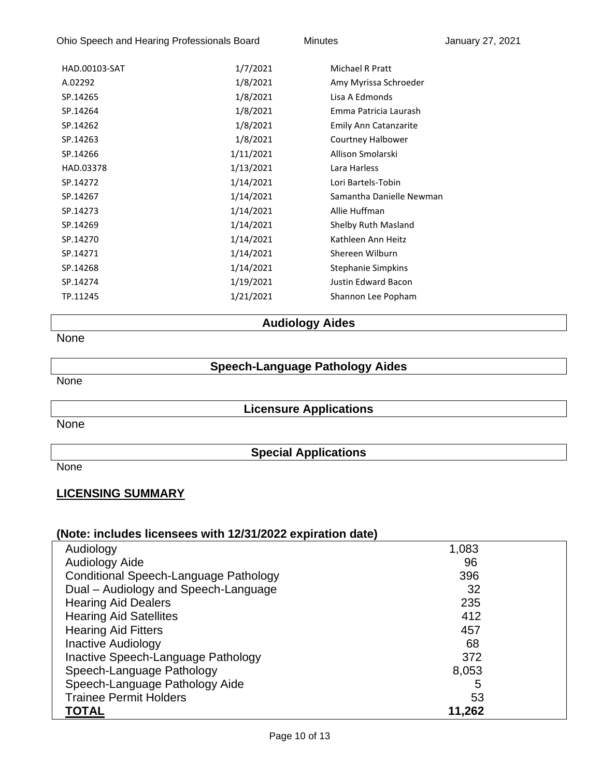Ohio Speech and Hearing Professionals Board Minutes Minutes January 27, 2021

| HAD.00103-SAT | 1/7/2021  | Michael R Pratt              |
|---------------|-----------|------------------------------|
| A.02292       | 1/8/2021  | Amy Myrissa Schroeder        |
| SP.14265      | 1/8/2021  | Lisa A Edmonds               |
| SP.14264      | 1/8/2021  | Emma Patricia Laurash        |
| SP.14262      | 1/8/2021  | <b>Emily Ann Catanzarite</b> |
| SP.14263      | 1/8/2021  | Courtney Halbower            |
| SP.14266      | 1/11/2021 | Allison Smolarski            |
| HAD.03378     | 1/13/2021 | Lara Harless                 |
| SP.14272      | 1/14/2021 | Lori Bartels-Tobin           |
| SP.14267      | 1/14/2021 | Samantha Danielle Newman     |
| SP.14273      | 1/14/2021 | Allie Huffman                |
| SP.14269      | 1/14/2021 | Shelby Ruth Masland          |
| SP.14270      | 1/14/2021 | Kathleen Ann Heitz           |
| SP.14271      | 1/14/2021 | Shereen Wilburn              |
| SP.14268      | 1/14/2021 | Stephanie Simpkins           |
| SP.14274      | 1/19/2021 | <b>Justin Edward Bacon</b>   |
| TP.11245      | 1/21/2021 | Shannon Lee Popham           |
|               |           |                              |

# **Audiology Aides**

None

## **Speech-Language Pathology Aides**

None

**Licensure Applications**

None

**Special Applications**

None

## **LICENSING SUMMARY**

| Audiology                             | 1,083  |
|---------------------------------------|--------|
| <b>Audiology Aide</b>                 | 96     |
| Conditional Speech-Language Pathology | 396    |
| Dual - Audiology and Speech-Language  | 32     |
| <b>Hearing Aid Dealers</b>            | 235    |
| <b>Hearing Aid Satellites</b>         | 412    |
| <b>Hearing Aid Fitters</b>            | 457    |
| <b>Inactive Audiology</b>             | 68     |
| Inactive Speech-Language Pathology    | 372    |
| Speech-Language Pathology             | 8,053  |
| Speech-Language Pathology Aide        | 5      |
| <b>Trainee Permit Holders</b>         | 53     |
| <b>TOTAL</b>                          | 11,262 |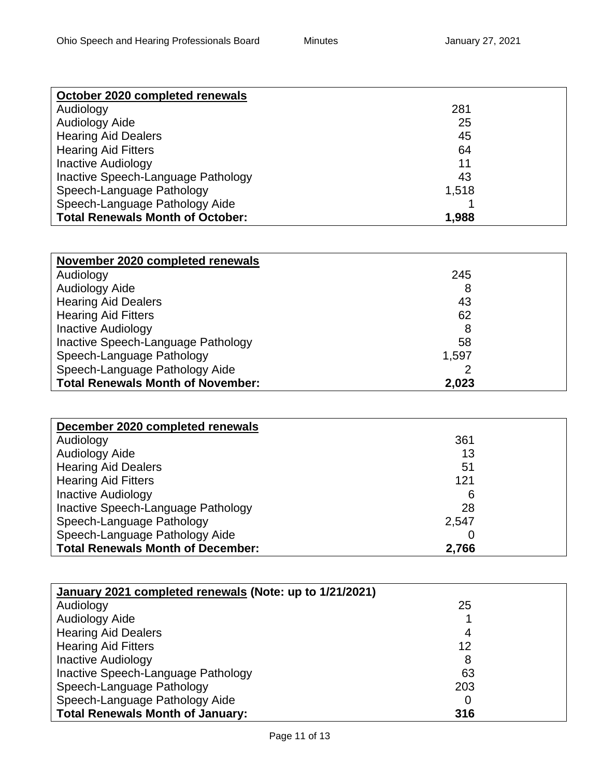| October 2020 completed renewals         |       |
|-----------------------------------------|-------|
| Audiology                               | 281   |
| Audiology Aide                          | 25    |
| <b>Hearing Aid Dealers</b>              | 45    |
| <b>Hearing Aid Fitters</b>              | 64    |
| <b>Inactive Audiology</b>               | 11    |
| Inactive Speech-Language Pathology      | 43    |
| Speech-Language Pathology               | 1,518 |
| Speech-Language Pathology Aide          |       |
| <b>Total Renewals Month of October:</b> | 1,988 |

| November 2020 completed renewals         |       |  |
|------------------------------------------|-------|--|
| Audiology                                | 245   |  |
| Audiology Aide                           | 8     |  |
| <b>Hearing Aid Dealers</b>               | 43    |  |
| <b>Hearing Aid Fitters</b>               | 62    |  |
| <b>Inactive Audiology</b>                | 8     |  |
| Inactive Speech-Language Pathology       | 58    |  |
| Speech-Language Pathology                | 1,597 |  |
| Speech-Language Pathology Aide           |       |  |
| <b>Total Renewals Month of November:</b> | 2,023 |  |

| December 2020 completed renewals         |       |  |
|------------------------------------------|-------|--|
| Audiology                                | 361   |  |
| Audiology Aide                           | 13    |  |
| <b>Hearing Aid Dealers</b>               | 51    |  |
| <b>Hearing Aid Fitters</b>               | 121   |  |
| <b>Inactive Audiology</b>                | 6     |  |
| Inactive Speech-Language Pathology       | 28    |  |
| Speech-Language Pathology                | 2,547 |  |
| Speech-Language Pathology Aide           |       |  |
| <b>Total Renewals Month of December:</b> | 2,766 |  |

| January 2021 completed renewals (Note: up to 1/21/2021) |     |
|---------------------------------------------------------|-----|
| Audiology                                               | 25  |
| Audiology Aide                                          |     |
| <b>Hearing Aid Dealers</b>                              | 4   |
| <b>Hearing Aid Fitters</b>                              | 12  |
| <b>Inactive Audiology</b>                               | 8   |
| Inactive Speech-Language Pathology                      | 63  |
| Speech-Language Pathology                               | 203 |
| Speech-Language Pathology Aide                          |     |
| <b>Total Renewals Month of January:</b>                 | 316 |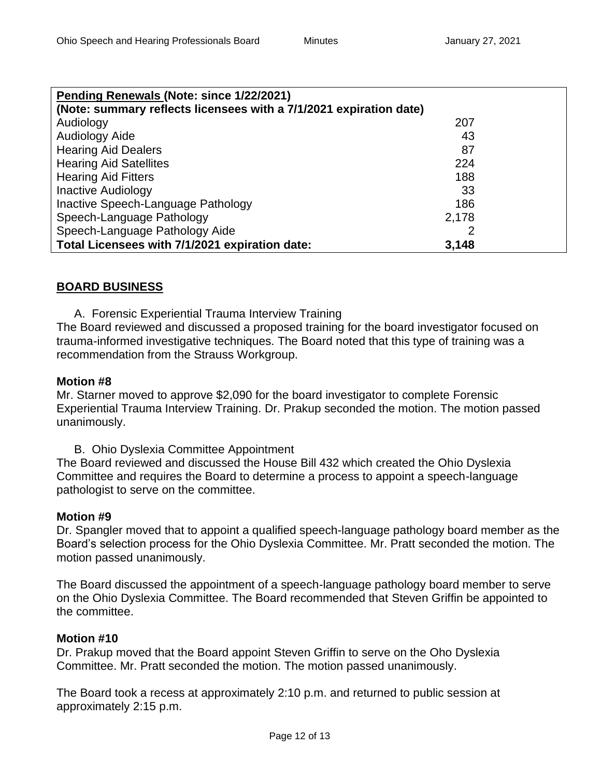| Pending Renewals (Note: since 1/22/2021)                           |       |  |  |
|--------------------------------------------------------------------|-------|--|--|
| (Note: summary reflects licensees with a 7/1/2021 expiration date) |       |  |  |
| Audiology                                                          | 207   |  |  |
| Audiology Aide                                                     | 43    |  |  |
| <b>Hearing Aid Dealers</b>                                         | 87    |  |  |
| <b>Hearing Aid Satellites</b>                                      | 224   |  |  |
| <b>Hearing Aid Fitters</b>                                         | 188   |  |  |
| <b>Inactive Audiology</b>                                          | 33    |  |  |
| Inactive Speech-Language Pathology                                 | 186   |  |  |
| Speech-Language Pathology                                          | 2,178 |  |  |
| Speech-Language Pathology Aide                                     |       |  |  |
| Total Licensees with 7/1/2021 expiration date:                     | 3,148 |  |  |

## **BOARD BUSINESS**

A. Forensic Experiential Trauma Interview Training

The Board reviewed and discussed a proposed training for the board investigator focused on trauma-informed investigative techniques. The Board noted that this type of training was a recommendation from the Strauss Workgroup.

#### **Motion #8**

Mr. Starner moved to approve \$2,090 for the board investigator to complete Forensic Experiential Trauma Interview Training. Dr. Prakup seconded the motion. The motion passed unanimously.

B. Ohio Dyslexia Committee Appointment

The Board reviewed and discussed the House Bill 432 which created the Ohio Dyslexia Committee and requires the Board to determine a process to appoint a speech-language pathologist to serve on the committee.

#### **Motion #9**

Dr. Spangler moved that to appoint a qualified speech-language pathology board member as the Board's selection process for the Ohio Dyslexia Committee. Mr. Pratt seconded the motion. The motion passed unanimously.

The Board discussed the appointment of a speech-language pathology board member to serve on the Ohio Dyslexia Committee. The Board recommended that Steven Griffin be appointed to the committee.

#### **Motion #10**

Dr. Prakup moved that the Board appoint Steven Griffin to serve on the Oho Dyslexia Committee. Mr. Pratt seconded the motion. The motion passed unanimously.

The Board took a recess at approximately 2:10 p.m. and returned to public session at approximately 2:15 p.m.